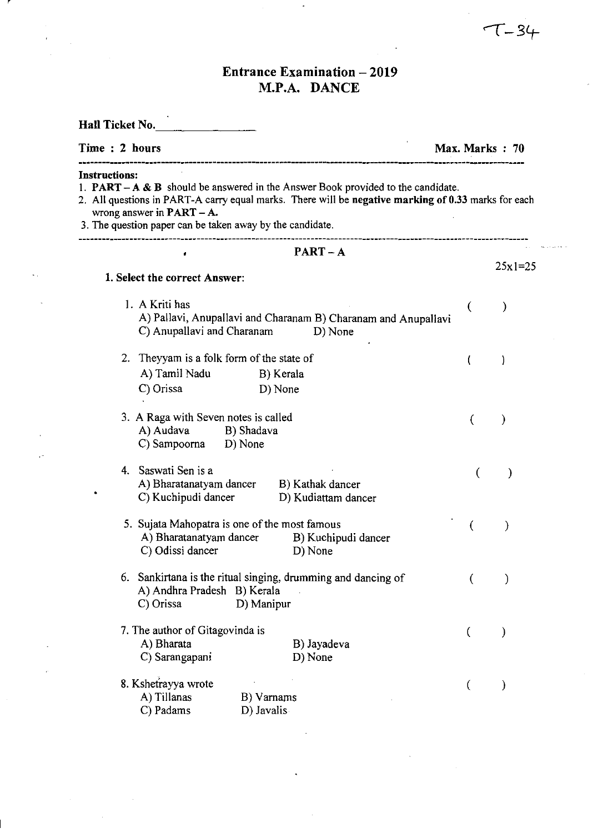## **Entrance Examination - 2019** M.P.A. DANCE

 $\overline{\phantom{a}}$ 

 $\bar{z}$ 

 $\mathcal{L}_{\mathrm{eff}}$ 

 $\ddot{\phantom{a}}$ 

 $\sim$   $\sim$ 

 $\mathcal{L}_{\mathcal{A}}$ 

| Hall Ticket No.                                                                                                                                                                                                                                                                                                                          |                   |           |  |  |
|------------------------------------------------------------------------------------------------------------------------------------------------------------------------------------------------------------------------------------------------------------------------------------------------------------------------------------------|-------------------|-----------|--|--|
| Time: 2 hours                                                                                                                                                                                                                                                                                                                            | Max. Marks $: 70$ |           |  |  |
| <b>Instructions:</b><br>1. <b>PART</b> – $A \& B$ should be answered in the Answer Book provided to the candidate.<br>2. All questions in PART-A carry equal marks. There will be negative marking of 0.33 marks for each<br>wrong answer in $\textbf{PART} - \textbf{A}$ .<br>3. The question paper can be taken away by the candidate. |                   |           |  |  |
| $PART - A$                                                                                                                                                                                                                                                                                                                               |                   |           |  |  |
| 1. Select the correct Answer:                                                                                                                                                                                                                                                                                                            |                   | $25x1=25$ |  |  |
| 1. A Kriti has<br>A) Pallavi, Anupallavi and Charanam B) Charanam and Anupallavi<br>C) Anupallavi and Charanam<br>D) None                                                                                                                                                                                                                |                   | ⟩         |  |  |
| 2. Theyyam is a folk form of the state of<br>A) Tamil Nadu<br>B) Kerala<br>C) Orissa<br>D) None                                                                                                                                                                                                                                          |                   |           |  |  |
| 3. A Raga with Seven notes is called<br>A) Audava<br>B) Shadava<br>C) Sampoorna D) None                                                                                                                                                                                                                                                  | €                 |           |  |  |
| 4. Saswati Sen is a<br>A) Bharatanatyam dancer<br>B) Kathak dancer<br>C) Kuchipudi dancer<br>D) Kudiattam dancer                                                                                                                                                                                                                         | (                 |           |  |  |
| 5. Sujata Mahopatra is one of the most famous<br>A) Bharatanatyam dancer<br>B) Kuchipudi dancer<br>C) Odissi dancer<br>D) None                                                                                                                                                                                                           |                   |           |  |  |
| 6. Sankirtana is the ritual singing, drumming and dancing of<br>A) Andhra Pradesh B) Kerala<br>C) Orissa<br>D) Manipur                                                                                                                                                                                                                   | (                 |           |  |  |
| 7. The author of Gitagovinda is<br>A) Bharata<br>B) Jayadeva<br>C) Sarangapani<br>D) None                                                                                                                                                                                                                                                |                   |           |  |  |
| 8. Kshetrayya wrote<br>A) Tillanas<br>B) Varnams<br>C) Padams<br>D) Javalis                                                                                                                                                                                                                                                              | €                 |           |  |  |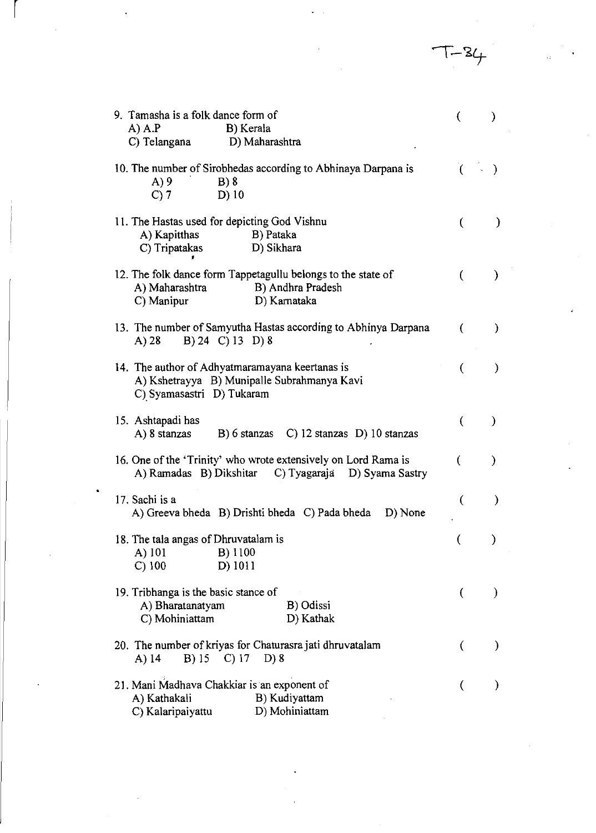$T-34$ 

| 9. Tamasha is a folk dance form of                                                                                          |                  | ⟩             |
|-----------------------------------------------------------------------------------------------------------------------------|------------------|---------------|
| $A)$ $A.P$<br>B) Kerala                                                                                                     |                  |               |
| C) Telangana<br>D) Maharashtra                                                                                              |                  |               |
| 10. The number of Sirobhedas according to Abhinaya Darpana is<br>A)9<br>$B)$ 8<br>$C$ ) 7<br>$D)$ 10                        | $\overline{(\ }$ |               |
|                                                                                                                             |                  |               |
| 11. The Hastas used for depicting God Vishnu<br>A) Kapitthas<br>B) Pataka<br>D) Sikhara<br>C) Tripatakas                    | (                | ⟩             |
| 12. The folk dance form Tappetagullu belongs to the state of<br>A) Maharashtra<br>B) Andhra Pradesh                         | €                | €             |
| C) Manipur<br>D) Karnataka                                                                                                  |                  |               |
| 13. The number of Samyutha Hastas according to Abhinya Darpana<br>B) 24 C) 13 D) 8<br>A) 28                                 | €                | $\mathcal{E}$ |
| 14. The author of Adhyatmaramayana keertanas is<br>A) Kshetrayya B) Munipalle Subrahmanya Kavi<br>C) Syamasastri D) Tukaram | €                | $\mathcal{Y}$ |
| 15. Ashtapadi has<br>A) 8 stanzas<br>B) 6 stanzas C) 12 stanzas D) 10 stanzas                                               | €                | ⟩             |
| 16. One of the 'Trinity' who wrote extensively on Lord Rama is<br>A) Ramadas B) Dikshitar C) Tyagaraja D) Syama Sastry      | €                | )             |
| 17. Sachi is a<br>A) Greeva bheda B) Drishti bheda C) Pada bheda<br>D) None                                                 | (                | €             |
| 18. The tala angas of Dhruvatalam is<br>B) 1100<br>A) 101<br>C) 100<br>D) 1011                                              |                  |               |
| 19. Tribhanga is the basic stance of<br>A) Bharatanatyam<br>B) Odissi<br>C) Mohiniattam<br>D) Kathak                        | €                |               |
| 20. The number of kriyas for Chaturasra jati dhruvatalam<br>B) 15 C) 17<br>D) 8<br>A) 14                                    | €                |               |
| 21. Mani Madhava Chakkiar is an exponent of<br>B) Kudiyattam<br>A) Kathakali<br>D) Mohiniattam<br>C) Kalaripaiyattu         | €                |               |

 $\frac{1}{\sqrt{2}}$ 

 $\sim$ 

à,